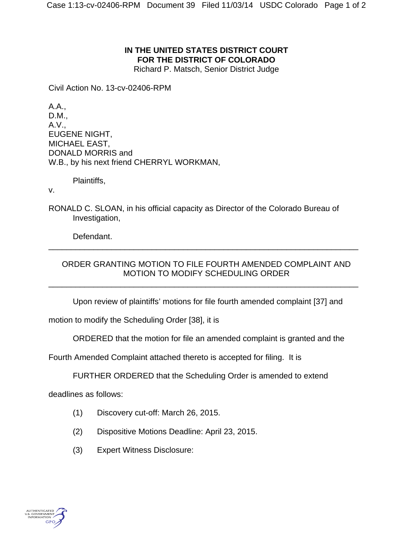## **IN THE UNITED STATES DISTRICT COURT FOR THE DISTRICT OF COLORADO**

Richard P. Matsch, Senior District Judge

Civil Action No. 13-cv-02406-RPM

A.A., D.M., A.V., EUGENE NIGHT, MICHAEL EAST, DONALD MORRIS and W.B., by his next friend CHERRYL WORKMAN,

Plaintiffs,

v.

RONALD C. SLOAN, in his official capacity as Director of the Colorado Bureau of Investigation,

Defendant.

## ORDER GRANTING MOTION TO FILE FOURTH AMENDED COMPLAINT AND MOTION TO MODIFY SCHEDULING ORDER

\_\_\_\_\_\_\_\_\_\_\_\_\_\_\_\_\_\_\_\_\_\_\_\_\_\_\_\_\_\_\_\_\_\_\_\_\_\_\_\_\_\_\_\_\_\_\_\_\_\_\_\_\_\_\_\_\_\_\_\_\_\_\_\_\_\_\_\_\_

\_\_\_\_\_\_\_\_\_\_\_\_\_\_\_\_\_\_\_\_\_\_\_\_\_\_\_\_\_\_\_\_\_\_\_\_\_\_\_\_\_\_\_\_\_\_\_\_\_\_\_\_\_\_\_\_\_\_\_\_\_\_\_\_\_\_\_\_\_

Upon review of plaintiffs' motions for file fourth amended complaint [37] and

motion to modify the Scheduling Order [38], it is

ORDERED that the motion for file an amended complaint is granted and the

Fourth Amended Complaint attached thereto is accepted for filing. It is

FURTHER ORDERED that the Scheduling Order is amended to extend

deadlines as follows:

- (1) Discovery cut-off: March 26, 2015.
- (2) Dispositive Motions Deadline: April 23, 2015.
- (3) Expert Witness Disclosure: